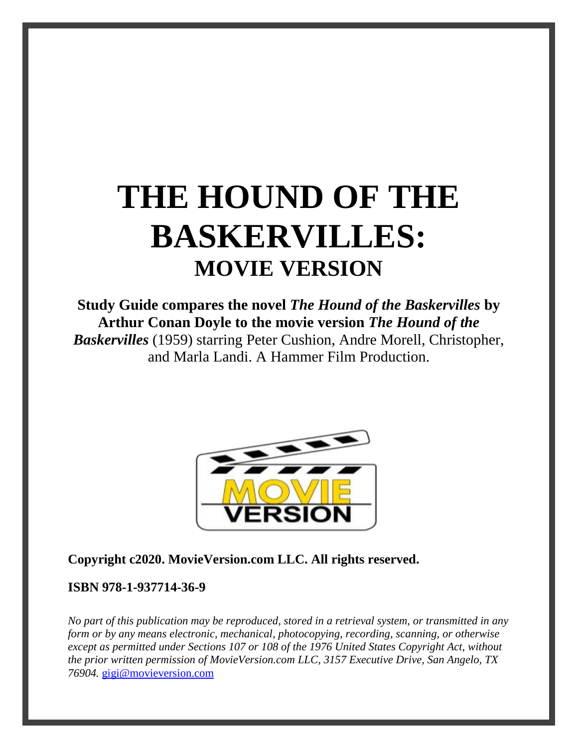# **THE HOUND OF THE BASKERVILLES: MOVIE VERSION**

**Study Guide compares the novel** *The Hound of the Baskervilles* **by Arthur Conan Doyle to the movie version** *The Hound of the Baskervilles* (1959) starring Peter Cushion, Andre Morell, Christopher, and Marla Landi. A Hammer Film Production.



#### **Copyright c2020. MovieVersion.com LLC. All rights reserved.**

#### **ISBN 978-1-937714-36-9**

*No part of this publication may be reproduced, stored in a retrieval system, or transmitted in any form or by any means electronic, mechanical, photocopying, recording, scanning, or otherwise except as permitted under Sections 107 or 108 of the 1976 United States Copyright Act, without the prior written permission of MovieVersion.com LLC, 3157 Executive Drive, San Angelo, TX 76904.* [gigi@movieversion.com](mailto:gigi@movieversion.com)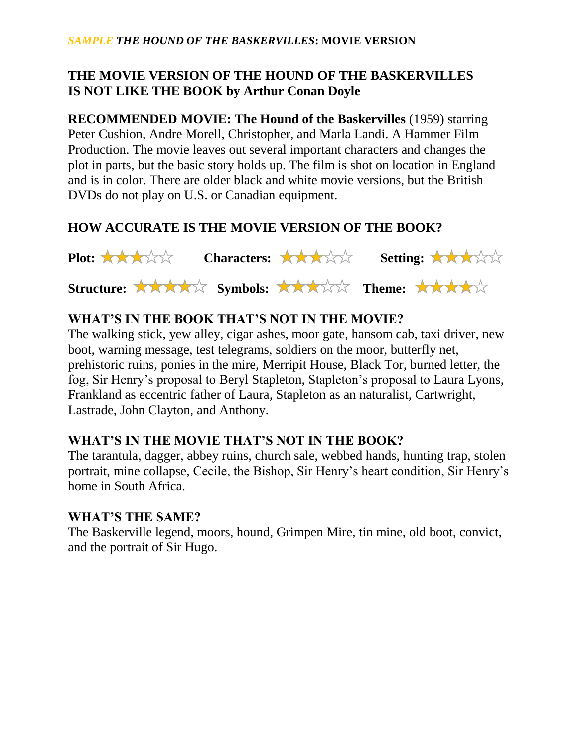# **THE MOVIE VERSION OF THE HOUND OF THE BASKERVILLES IS NOT LIKE THE BOOK by Arthur Conan Doyle**

**RECOMMENDED MOVIE: The Hound of the Baskervilles** (1959) starring Peter Cushion, Andre Morell, Christopher, and Marla Landi. A Hammer Film Production. The movie leaves out several important characters and changes the plot in parts, but the basic story holds up. The film is shot on location in England and is in color. There are older black and white movie versions, but the British DVDs do not play on U.S. or Canadian equipment.

# **HOW ACCURATE IS THE MOVIE VERSION OF THE BOOK?**



# **WHAT'S IN THE BOOK THAT'S NOT IN THE MOVIE?**

The walking stick, yew alley, cigar ashes, moor gate, hansom cab, taxi driver, new boot, warning message, test telegrams, soldiers on the moor, butterfly net, prehistoric ruins, ponies in the mire, Merripit House, Black Tor, burned letter, the fog, Sir Henry's proposal to Beryl Stapleton, Stapleton's proposal to Laura Lyons, Frankland as eccentric father of Laura, Stapleton as an naturalist, Cartwright, Lastrade, John Clayton, and Anthony.

# **WHAT'S IN THE MOVIE THAT'S NOT IN THE BOOK?**

The tarantula, dagger, abbey ruins, church sale, webbed hands, hunting trap, stolen portrait, mine collapse, Cecile, the Bishop, Sir Henry's heart condition, Sir Henry's home in South Africa.

#### **WHAT'S THE SAME?**

The Baskerville legend, moors, hound, Grimpen Mire, tin mine, old boot, convict, and the portrait of Sir Hugo.